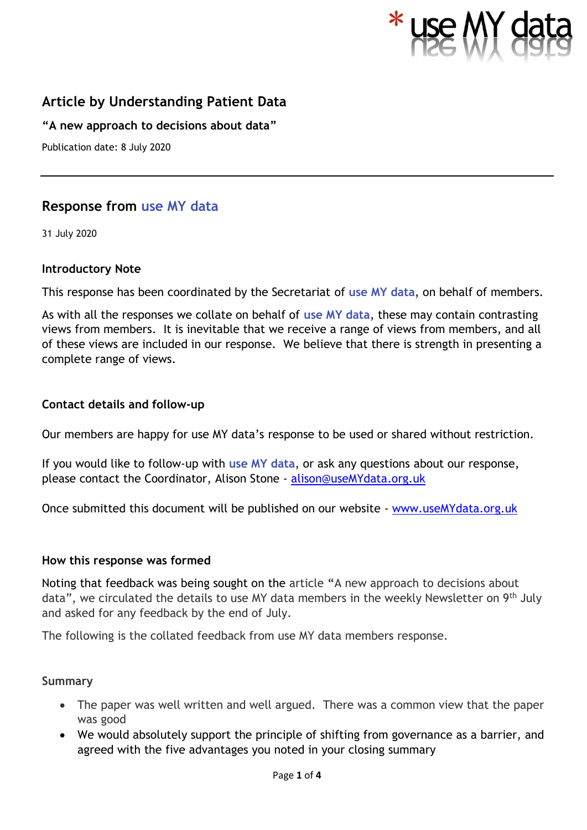

# **Article by Understanding Patient Data**

**"A new approach to decisions about data"**

Publication date: 8 July 2020

# **Response from use MY data**

31 July 2020

#### **Introductory Note**

This response has been coordinated by the Secretariat of **use MY data**, on behalf of members.

As with all the responses we collate on behalf of **use MY data**, these may contain contrasting views from members. It is inevitable that we receive a range of views from members, and all of these views are included in our response. We believe that there is strength in presenting a complete range of views.

#### **Contact details and follow-up**

Our members are happy for use MY data's response to be used or shared without restriction.

If you would like to follow-up with **use MY data**, or ask any questions about our response, please contact the Coordinator, Alison Stone - [alison@useMYdata.org.uk](mailto:alison@useMYdata.org.uk)

Once submitted this document will be published on our website - [www.useMYdata.org.uk](http://www.usemydata.org.uk/)

#### **How this response was formed**

Noting that feedback was being sought on the article **"**A new approach to decisions about data", we circulated the details to use MY data members in the weekly Newsletter on 9<sup>th</sup> July and asked for any feedback by the end of July.

The following is the collated feedback from use MY data members response.

#### **Summary**

- The paper was well written and well argued. There was a common view that the paper was good
- We would absolutely support the principle of shifting from governance as a barrier, and agreed with the five advantages you noted in your closing summary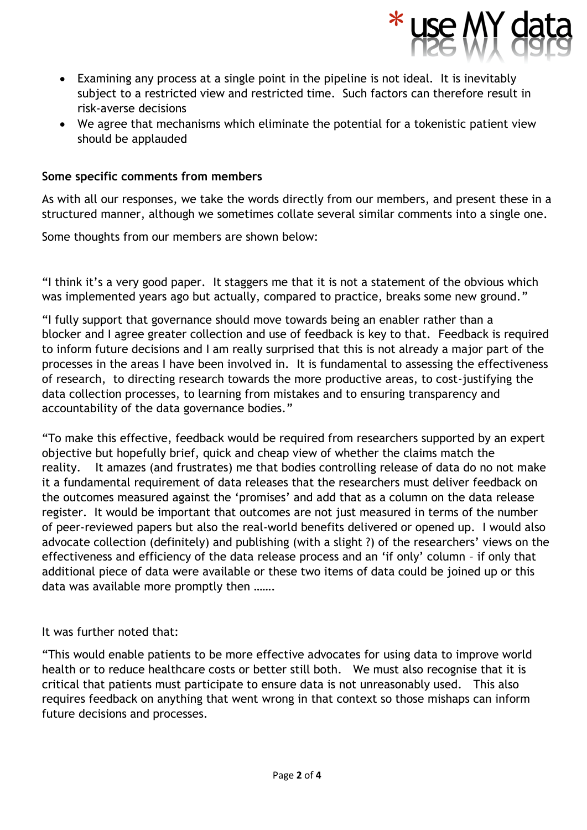

- Examining any process at a single point in the pipeline is not ideal. It is inevitably subject to a restricted view and restricted time. Such factors can therefore result in risk-averse decisions
- We agree that mechanisms which eliminate the potential for a tokenistic patient view should be applauded

#### **Some specific comments from members**

As with all our responses, we take the words directly from our members, and present these in a structured manner, although we sometimes collate several similar comments into a single one.

Some thoughts from our members are shown below:

"I think it's a very good paper. It staggers me that it is not a statement of the obvious which was implemented years ago but actually, compared to practice, breaks some new ground."

"I fully support that governance should move towards being an enabler rather than a blocker and I agree greater collection and use of feedback is key to that. Feedback is required to inform future decisions and I am really surprised that this is not already a major part of the processes in the areas I have been involved in. It is fundamental to assessing the effectiveness of research, to directing research towards the more productive areas, to cost-justifying the data collection processes, to learning from mistakes and to ensuring transparency and accountability of the data governance bodies."

"To make this effective, feedback would be required from researchers supported by an expert objective but hopefully brief, quick and cheap view of whether the claims match the reality. It amazes (and frustrates) me that bodies controlling release of data do no not make it a fundamental requirement of data releases that the researchers must deliver feedback on the outcomes measured against the 'promises' and add that as a column on the data release register. It would be important that outcomes are not just measured in terms of the number of peer-reviewed papers but also the real-world benefits delivered or opened up. I would also advocate collection (definitely) and publishing (with a slight ?) of the researchers' views on the effectiveness and efficiency of the data release process and an 'if only' column – if only that additional piece of data were available or these two items of data could be joined up or this data was available more promptly then …….

#### It was further noted that:

"This would enable patients to be more effective advocates for using data to improve world health or to reduce healthcare costs or better still both. We must also recognise that it is critical that patients must participate to ensure data is not unreasonably used. This also requires feedback on anything that went wrong in that context so those mishaps can inform future decisions and processes.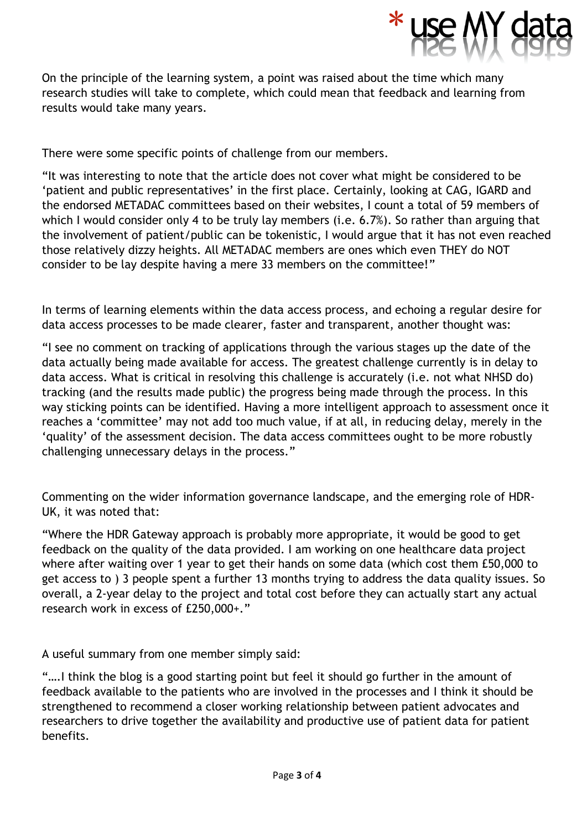

On the principle of the learning system, a point was raised about the time which many research studies will take to complete, which could mean that feedback and learning from results would take many years.

There were some specific points of challenge from our members.

"It was interesting to note that the article does not cover what might be considered to be 'patient and public representatives' in the first place. Certainly, looking at CAG, IGARD and the endorsed METADAC committees based on their websites, I count a total of 59 members of which I would consider only 4 to be truly lay members (i.e. 6.7%). So rather than arguing that the involvement of patient/public can be tokenistic, I would argue that it has not even reached those relatively dizzy heights. All METADAC members are ones which even THEY do NOT consider to be lay despite having a mere 33 members on the committee!"

In terms of learning elements within the data access process, and echoing a regular desire for data access processes to be made clearer, faster and transparent, another thought was:

"I see no comment on tracking of applications through the various stages up the date of the data actually being made available for access. The greatest challenge currently is in delay to data access. What is critical in resolving this challenge is accurately (i.e. not what NHSD do) tracking (and the results made public) the progress being made through the process. In this way sticking points can be identified. Having a more intelligent approach to assessment once it reaches a 'committee' may not add too much value, if at all, in reducing delay, merely in the 'quality' of the assessment decision. The data access committees ought to be more robustly challenging unnecessary delays in the process."

Commenting on the wider information governance landscape, and the emerging role of HDR-UK, it was noted that:

"Where the HDR Gateway approach is probably more appropriate, it would be good to get feedback on the quality of the data provided. I am working on one healthcare data project where after waiting over 1 year to get their hands on some data (which cost them £50,000 to get access to ) 3 people spent a further 13 months trying to address the data quality issues. So overall, a 2-year delay to the project and total cost before they can actually start any actual research work in excess of £250,000+."

A useful summary from one member simply said:

"….I think the blog is a good starting point but feel it should go further in the amount of feedback available to the patients who are involved in the processes and I think it should be strengthened to recommend a closer working relationship between patient advocates and researchers to drive together the availability and productive use of patient data for patient benefits.